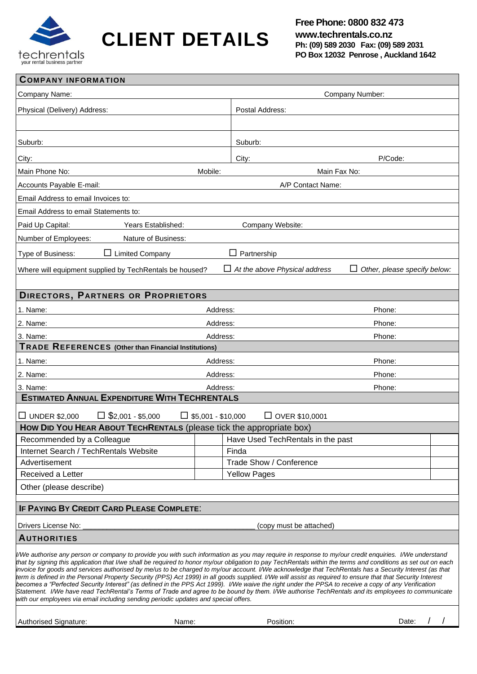

**CLIENT DETAILS**

| <b>COMPANY INFORMATION</b>                                                                                                                                                                                                                                                                                                                                                                                                                                                                                                                                                                                                                                                                                                                                                                                                                                                                                                                                                                                                                       |                 |                                      |                                     |  |
|--------------------------------------------------------------------------------------------------------------------------------------------------------------------------------------------------------------------------------------------------------------------------------------------------------------------------------------------------------------------------------------------------------------------------------------------------------------------------------------------------------------------------------------------------------------------------------------------------------------------------------------------------------------------------------------------------------------------------------------------------------------------------------------------------------------------------------------------------------------------------------------------------------------------------------------------------------------------------------------------------------------------------------------------------|-----------------|--------------------------------------|-------------------------------------|--|
| Company Name:                                                                                                                                                                                                                                                                                                                                                                                                                                                                                                                                                                                                                                                                                                                                                                                                                                                                                                                                                                                                                                    | Company Number: |                                      |                                     |  |
| Physical (Delivery) Address:                                                                                                                                                                                                                                                                                                                                                                                                                                                                                                                                                                                                                                                                                                                                                                                                                                                                                                                                                                                                                     |                 | Postal Address:                      |                                     |  |
|                                                                                                                                                                                                                                                                                                                                                                                                                                                                                                                                                                                                                                                                                                                                                                                                                                                                                                                                                                                                                                                  |                 |                                      |                                     |  |
| Suburb:                                                                                                                                                                                                                                                                                                                                                                                                                                                                                                                                                                                                                                                                                                                                                                                                                                                                                                                                                                                                                                          |                 | Suburb:                              |                                     |  |
| City:                                                                                                                                                                                                                                                                                                                                                                                                                                                                                                                                                                                                                                                                                                                                                                                                                                                                                                                                                                                                                                            |                 | City:                                | P/Code:                             |  |
| Main Phone No:                                                                                                                                                                                                                                                                                                                                                                                                                                                                                                                                                                                                                                                                                                                                                                                                                                                                                                                                                                                                                                   | Mobile:         | Main Fax No:                         |                                     |  |
| Accounts Payable E-mail:                                                                                                                                                                                                                                                                                                                                                                                                                                                                                                                                                                                                                                                                                                                                                                                                                                                                                                                                                                                                                         |                 | A/P Contact Name:                    |                                     |  |
| Email Address to email Invoices to:                                                                                                                                                                                                                                                                                                                                                                                                                                                                                                                                                                                                                                                                                                                                                                                                                                                                                                                                                                                                              |                 |                                      |                                     |  |
| Email Address to email Statements to:                                                                                                                                                                                                                                                                                                                                                                                                                                                                                                                                                                                                                                                                                                                                                                                                                                                                                                                                                                                                            |                 |                                      |                                     |  |
| Paid Up Capital:<br>Years Established:                                                                                                                                                                                                                                                                                                                                                                                                                                                                                                                                                                                                                                                                                                                                                                                                                                                                                                                                                                                                           |                 | Company Website:                     |                                     |  |
| Number of Employees:<br>Nature of Business:                                                                                                                                                                                                                                                                                                                                                                                                                                                                                                                                                                                                                                                                                                                                                                                                                                                                                                                                                                                                      |                 |                                      |                                     |  |
| $\Box$ Limited Company<br>Type of Business:                                                                                                                                                                                                                                                                                                                                                                                                                                                                                                                                                                                                                                                                                                                                                                                                                                                                                                                                                                                                      |                 | $\Box$ Partnership                   |                                     |  |
| Where will equipment supplied by TechRentals be housed?                                                                                                                                                                                                                                                                                                                                                                                                                                                                                                                                                                                                                                                                                                                                                                                                                                                                                                                                                                                          |                 | $\Box$ At the above Physical address | $\Box$ Other, please specify below: |  |
|                                                                                                                                                                                                                                                                                                                                                                                                                                                                                                                                                                                                                                                                                                                                                                                                                                                                                                                                                                                                                                                  |                 |                                      |                                     |  |
| <b>DIRECTORS, PARTNERS OR PROPRIETORS</b>                                                                                                                                                                                                                                                                                                                                                                                                                                                                                                                                                                                                                                                                                                                                                                                                                                                                                                                                                                                                        |                 |                                      |                                     |  |
| 1. Name:                                                                                                                                                                                                                                                                                                                                                                                                                                                                                                                                                                                                                                                                                                                                                                                                                                                                                                                                                                                                                                         | Address:        | Phone:                               |                                     |  |
| 2. Name:                                                                                                                                                                                                                                                                                                                                                                                                                                                                                                                                                                                                                                                                                                                                                                                                                                                                                                                                                                                                                                         | Address:        |                                      | Phone:                              |  |
| 3. Name:                                                                                                                                                                                                                                                                                                                                                                                                                                                                                                                                                                                                                                                                                                                                                                                                                                                                                                                                                                                                                                         | Address:        | Phone:                               |                                     |  |
| <b>TRADE REFERENCES</b> (Other than Financial Institutions)                                                                                                                                                                                                                                                                                                                                                                                                                                                                                                                                                                                                                                                                                                                                                                                                                                                                                                                                                                                      |                 |                                      |                                     |  |
| 1. Name:                                                                                                                                                                                                                                                                                                                                                                                                                                                                                                                                                                                                                                                                                                                                                                                                                                                                                                                                                                                                                                         | Address:        |                                      | Phone:                              |  |
| 2. Name:                                                                                                                                                                                                                                                                                                                                                                                                                                                                                                                                                                                                                                                                                                                                                                                                                                                                                                                                                                                                                                         | Address:        |                                      | Phone:                              |  |
| 3. Name:<br>Address:<br>Phone:                                                                                                                                                                                                                                                                                                                                                                                                                                                                                                                                                                                                                                                                                                                                                                                                                                                                                                                                                                                                                   |                 |                                      |                                     |  |
| <b>ESTIMATED ANNUAL EXPENDITURE WITH TECHRENTALS</b>                                                                                                                                                                                                                                                                                                                                                                                                                                                                                                                                                                                                                                                                                                                                                                                                                                                                                                                                                                                             |                 |                                      |                                     |  |
| $\Box$ \$2,001 - \$5,000<br>$\Box$ \$5,001 - \$10,000<br>$\square$ UNDER \$2,000<br>$\Box$ OVER \$10,0001                                                                                                                                                                                                                                                                                                                                                                                                                                                                                                                                                                                                                                                                                                                                                                                                                                                                                                                                        |                 |                                      |                                     |  |
| How DID You HEAR ABOUT TECHRENTALS (please tick the appropriate box)                                                                                                                                                                                                                                                                                                                                                                                                                                                                                                                                                                                                                                                                                                                                                                                                                                                                                                                                                                             |                 |                                      |                                     |  |
| Recommended by a Colleague                                                                                                                                                                                                                                                                                                                                                                                                                                                                                                                                                                                                                                                                                                                                                                                                                                                                                                                                                                                                                       |                 | Have Used TechRentals in the past    |                                     |  |
| Internet Search / TechRentals Website                                                                                                                                                                                                                                                                                                                                                                                                                                                                                                                                                                                                                                                                                                                                                                                                                                                                                                                                                                                                            |                 | Finda                                |                                     |  |
| Advertisement                                                                                                                                                                                                                                                                                                                                                                                                                                                                                                                                                                                                                                                                                                                                                                                                                                                                                                                                                                                                                                    |                 | Trade Show / Conference              |                                     |  |
| <b>Yellow Pages</b><br>Received a Letter                                                                                                                                                                                                                                                                                                                                                                                                                                                                                                                                                                                                                                                                                                                                                                                                                                                                                                                                                                                                         |                 |                                      |                                     |  |
| Other (please describe)                                                                                                                                                                                                                                                                                                                                                                                                                                                                                                                                                                                                                                                                                                                                                                                                                                                                                                                                                                                                                          |                 |                                      |                                     |  |
| <b>IF PAYING BY CREDIT CARD PLEASE COMPLETE:</b>                                                                                                                                                                                                                                                                                                                                                                                                                                                                                                                                                                                                                                                                                                                                                                                                                                                                                                                                                                                                 |                 |                                      |                                     |  |
| Drivers License No:<br>(copy must be attached)                                                                                                                                                                                                                                                                                                                                                                                                                                                                                                                                                                                                                                                                                                                                                                                                                                                                                                                                                                                                   |                 |                                      |                                     |  |
| <b>AUTHORITIES</b>                                                                                                                                                                                                                                                                                                                                                                                                                                                                                                                                                                                                                                                                                                                                                                                                                                                                                                                                                                                                                               |                 |                                      |                                     |  |
| l/We authorise any person or company to provide you with such information as you may require in response to my/our credit enquiries. I/We understand<br>that by signing this application that I/we shall be required to honor my/our obligation to pay TechRentals within the terms and conditions as set out on each<br>invoice for goods and services authorised by me/us to be charged to my/our account. I/We acknowledge that TechRentals has a Security Interest (as that<br>term is defined in the Personal Property Security (PPS) Act 1999) in all goods supplied. I/We will assist as required to ensure that that Security Interest<br>becomes a "Perfected Security Interest" (as defined in the PPS Act 1999). I/We waive the right under the PPSA to receive a copy of any Verification<br>Statement. I/We have read TechRental's Terms of Trade and agree to be bound by them. I/We authorise TechRentals and its employees to communicate<br>with our employees via email including sending periodic updates and special offers. |                 |                                      |                                     |  |
| Authorised Signature:<br>Name:                                                                                                                                                                                                                                                                                                                                                                                                                                                                                                                                                                                                                                                                                                                                                                                                                                                                                                                                                                                                                   |                 | Position:                            | Date:                               |  |
|                                                                                                                                                                                                                                                                                                                                                                                                                                                                                                                                                                                                                                                                                                                                                                                                                                                                                                                                                                                                                                                  |                 |                                      |                                     |  |